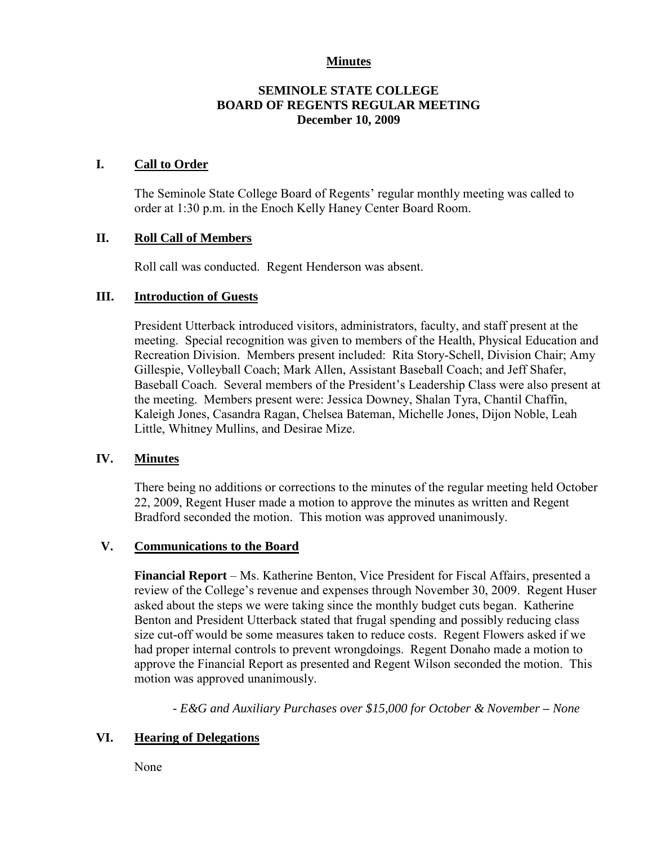## **Minutes**

## **SEMINOLE STATE COLLEGE BOARD OF REGENTS REGULAR MEETING December 10, 2009**

## **I. Call to Order**

The Seminole State College Board of Regents' regular monthly meeting was called to order at 1:30 p.m. in the Enoch Kelly Haney Center Board Room.

## **II. Roll Call of Members**

Roll call was conducted. Regent Henderson was absent.

## **III. Introduction of Guests**

President Utterback introduced visitors, administrators, faculty, and staff present at the meeting. Special recognition was given to members of the Health, Physical Education and Recreation Division. Members present included: Rita Story-Schell, Division Chair; Amy Gillespie, Volleyball Coach; Mark Allen, Assistant Baseball Coach; and Jeff Shafer, Baseball Coach. Several members of the President's Leadership Class were also present at the meeting. Members present were: Jessica Downey, Shalan Tyra, Chantil Chaffin, Kaleigh Jones, Casandra Ragan, Chelsea Bateman, Michelle Jones, Dijon Noble, Leah Little, Whitney Mullins, and Desirae Mize.

#### **IV. Minutes**

There being no additions or corrections to the minutes of the regular meeting held October 22, 2009, Regent Huser made a motion to approve the minutes as written and Regent Bradford seconded the motion. This motion was approved unanimously.

#### **V. Communications to the Board**

**Financial Report** – Ms. Katherine Benton, Vice President for Fiscal Affairs, presented a review of the College's revenue and expenses through November 30, 2009. Regent Huser asked about the steps we were taking since the monthly budget cuts began. Katherine Benton and President Utterback stated that frugal spending and possibly reducing class size cut-off would be some measures taken to reduce costs. Regent Flowers asked if we had proper internal controls to prevent wrongdoings. Regent Donaho made a motion to approve the Financial Report as presented and Regent Wilson seconded the motion. This motion was approved unanimously.

*- E&G and Auxiliary Purchases over \$15,000 for October & November – None*

## **VI. Hearing of Delegations**

None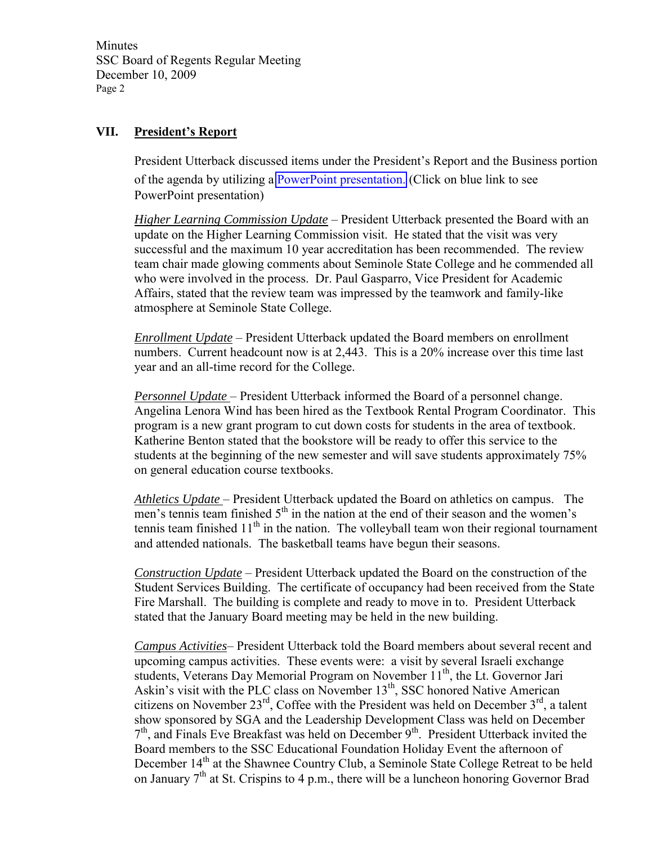**Minutes** SSC Board of Regents Regular Meeting December 10, 2009 Page 2

# **VII. President's Report**

President Utterback discussed items under the President's Report and the Business portion of the agenda by utilizing a PowerPoint presentation. (Click on blue link to see PowerPoint presentation)

*Higher Learning Commission Update* – President Utterback presented the Board with an update on the Higher Learning Commission visit. He stated that the visit was very successful and the maximum 10 year accreditation has been recommended. The review team chair made glowing comments about Seminole State College and he commended all who were involved in the process. Dr. Paul Gasparro, Vice President for Academic Affairs, stated that the review team was impressed by the teamwork and family-like atmosphere at Seminole State College.

*Enrollment Update* – President Utterback updated the Board members on enrollment numbers. Current headcount now is at 2,443. This is a 20% increase over this time last year and an all-time record for the College.

*Personnel Update* – President Utterback informed the Board of a personnel change. Angelina Lenora Wind has been hired as the Textbook Rental Program Coordinator. This program is a new grant program to cut down costs for students in the area of textbook. Katherine Benton stated that the bookstore will be ready to offer this service to the students at the beginning of the new semester and will save students approximately 75% on general education course textbooks.

*Athletics Update* – President Utterback updated the Board on athletics on campus. The men's tennis team finished  $5<sup>th</sup>$  in the nation at the end of their season and the women's tennis team finished  $11<sup>th</sup>$  in the nation. The volleyball team won their regional tournament and attended nationals. The basketball teams have begun their seasons.

*Construction Update* – President Utterback updated the Board on the construction of the Student Services Building. The certificate of occupancy had been received from the State Fire Marshall. The building is complete and ready to move in to. President Utterback stated that the January Board meeting may be held in the new building.

*Campus Activities*– President Utterback told the Board members about several recent and upcoming campus activities. These events were: a visit by several Israeli exchange students, Veterans Day Memorial Program on November 11<sup>th</sup>, the Lt. Governor Jari Askin's visit with the PLC class on November 13<sup>th</sup>, SSC honored Native American citizens on November  $23^{rd}$ , Coffee with the President was held on December  $3^{rd}$ , a talent show sponsored by SGA and the Leadership Development Class was held on December 7<sup>th</sup>, and Finals Eve Breakfast was held on December 9<sup>th</sup>. President Utterback invited the Board members to the SSC Educational Foundation Holiday Event the afternoon of December 14<sup>th</sup> at the Shawnee Country Club, a Seminole State College Retreat to be held on January  $7<sup>th</sup>$  at St. Crispins to 4 p.m., there will be a luncheon honoring Governor Brad